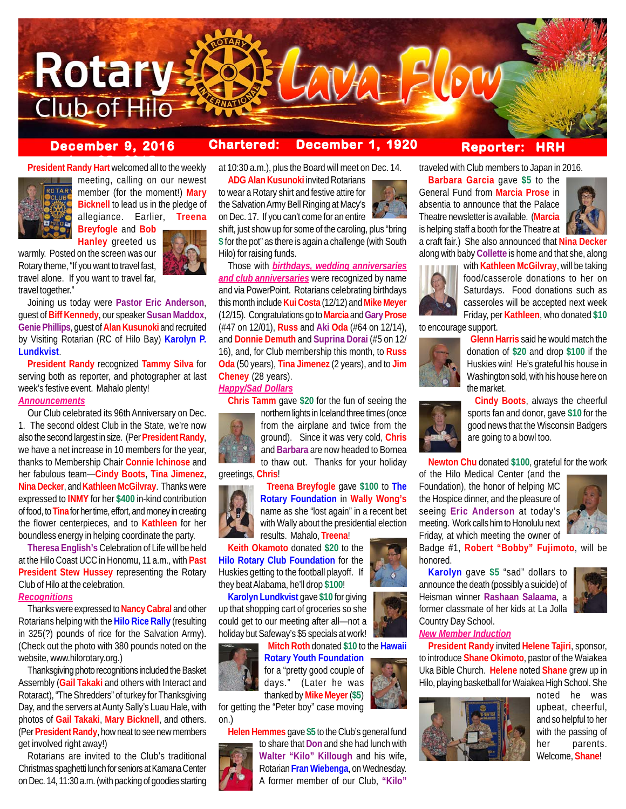

## **December 9, 2016 Chartered: December 1, 1920**

## **Reporter: HRH**

**President Randy Hart** welcomed all to the weekly



meeting, calling on our newest member (for the moment!) **Mary Bicknell** to lead us in the pledge of allegiance. Earlier, **Treena Breyfogle** and **Bob**

**Hanley** greeted us

warmly. Posted on the screen was our Rotary theme, "If you want to travel fast, travel alone. If you want to travel far, travel together."

Joining us today were **Pastor Eric Anderson**, guest of **Biff Kennedy**, our speaker **Susan Maddox**, **Genie Phillips**, guest of **Alan Kusunoki** and recruited by Visiting Rotarian (RC of Hilo Bay) **Karolyn P. Lundkvist**.

**President Randy** recognized **Tammy Silva** for serving both as reporter, and photographer at last week's festive event. Mahalo plenty!

## *Announcements*

Our Club celebrated its 96th Anniversary on Dec. 1. The second oldest Club in the State, we're now also the second largest in size. (Per **President Randy**, we have a net increase in 10 members for the year, thanks to Membership Chair **Connie Ichinose** and her fabulous team—**Cindy Boots**, **Tina Jimenez**, **Nina Decker**, and **Kathleen McGilvray**. Thanks were expressed to **INMY** for her **\$400** in-kind contribution of food, to **Tina** for her time, effort, and money in creating the flower centerpieces, and to **Kathleen** for her boundless energy in helping coordinate the party.

**Theresa English's** Celebration of Life will be held at the Hilo Coast UCC in Honomu, 11 a.m., with **Past President Stew Hussey** representing the Rotary Club of Hilo at the celebration.

## *Recognitions*

Thanks were expressed to **Nancy Cabral** and other Rotarians helping with the **Hilo Rice Rally** (resulting in 325(?) pounds of rice for the Salvation Army). (Check out the photo with 380 pounds noted on the website, www.hilorotary.org.)

Thanksgiving photo recognitions included the Basket Assembly (**Gail Takaki** and others with Interact and Rotaract), "The Shredders" of turkey for Thanksgiving Day, and the servers at Aunty Sally's Luau Hale, with photos of **Gail Takaki**, **Mary Bicknell**, and others. (Per **President Randy**, how neat to see new members get involved right away!)

Rotarians are invited to the Club's traditional Christmas spaghetti lunch for seniors at Kamana Center on Dec. 14, 11:30 a.m. (with packing of goodies starting

at 10:30 a.m.), plus the Board will meet on Dec. 14.

**ADG Alan Kusunoki** invited Rotarians to wear a Rotary shirt and festive attire for the Salvation Army Bell Ringing at Macy's on Dec. 17. If you can't come for an entire

shift, just show up for some of the caroling, plus "bring **\$** for the pot" as there is again a challenge (with South Hilo) for raising funds.

Those with *birthdays, wedding anniversaries and club anniversaries* were recognized by name and via PowerPoint. Rotarians celebrating birthdays this month include **Kui Costa** (12/12) and **Mike Meyer** (12/15). Congratulations go to **Marcia** and **Gary Prose** (#47 on 12/01), **Russ** and **Aki Oda** (#64 on 12/14), and **Donnie Demuth** and **Suprina Dorai** (#5 on 12/ 16), and, for Club membership this month, to **Russ Oda** (50 years), **Tina Jimenez** (2 years), and to **Jim Cheney** (28 years).

## *Happy/Sad Dollars*

**Chris Tamm** gave **\$20** for the fun of seeing the



northern lights in Iceland three times (once from the airplane and twice from the ground). Since it was very cold, **Chris**

#### greetings, **Chris**!



and **Barbara** are now headed to Bornea to thaw out. Thanks for your holiday **Treena Breyfogle** gave **\$100** to **The Rotary Foundation** in **Wally Wong's**

name as she "lost again" in a recent bet with Wally about the presidential election results. Mahalo, **Treena**!

**Keith Okamoto** donated **\$20** to the **Hilo Rotary Club Foundation** for the Huskies getting to the football playoff. If they beat Alabama, he'll drop **\$100**!

**Karolyn Lundkvist** gave **\$10** for giving up that shopping cart of groceries so she could get to our meeting after all—not a holiday but Safeway's \$5 specials at work!

**Mitch Roth** donated **\$10** to the **Hawaii**



**Rotary Youth Foundation** for a "pretty good couple of days." (Later he was thanked by **Mike Meyer** (**\$5**)

for getting the "Peter boy" case moving on.)



**Helen Hemmes** gave **\$5** to the Club's general fund to share that **Don** and she had lunch with **Walter "Kilo" Killough** and his wife, Rotarian **Fran Wiebenga**, on Wednesday. A former member of our Club, **"Kilo"**

traveled with Club members to Japan in 2016.

**Barbara Garcia** gave **\$5** to the General Fund from **Marcia Prose** in absentia to announce that the Palace Theatre newsletter is available. (**Marcia** is helping staff a booth for the Theatre at



a craft fair.) She also announced that **Nina Decker** along with baby **Collette** is home and that she, along



with **Kathleen McGilvray**, will be taking food/casserole donations to her on Saturdays. Food donations such as casseroles will be accepted next week Friday, per **Kathleen**, who donated **\$10**

to encourage support.



 **Glenn Harris** said he would match the donation of **\$20** and drop **\$100** if the Huskies win! He's grateful his house in Washington sold, with his house here on the market.

 **Cindy Boots**, always the cheerful sports fan and donor, gave **\$10** for the good news that the Wisconsin Badgers are going to a bowl too.

**Newton Chu** donated **\$100**, grateful for the work

of the Hilo Medical Center (and the Foundation), the honor of helping MC the Hospice dinner, and the pleasure of seeing **Eric Anderson** at today's meeting. Work calls him to Honolulu next Friday, at which meeting the owner of



Badge #1, **Robert "Bobby" Fujimoto**, will be honored.

**Karolyn** gave **\$5** "sad" dollars to announce the death (possibly a suicide) of Heisman winner **Rashaan Salaama**, a former classmate of her kids at La Jolla Country Day School.

# *New Member Induction*

**President Randy** invited **Helene Tajiri**, sponsor, to introduce **Shane Okimoto**, pastor of the Waiakea Uka Bible Church. **Helene** noted **Shane** grew up in Hilo, playing basketball for Waiakea High School. She



noted he was upbeat, cheerful, and so helpful to her with the passing of her parents. Welcome, **Shane**!